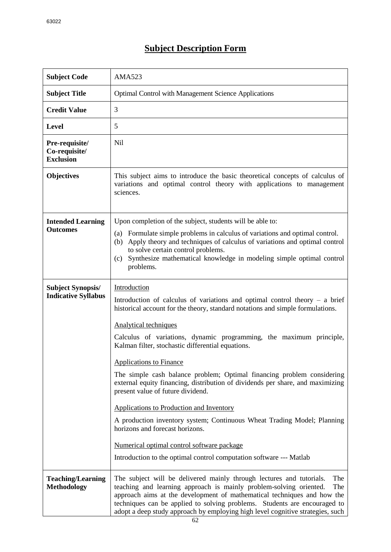## **Subject Description Form**

| <b>Subject Code</b>                                    | <b>AMA523</b>                                                                                                                                                                                                                                                                                                                                                                                                                                                                                                                                                                                                                                                                                                                                                                                                                                          |
|--------------------------------------------------------|--------------------------------------------------------------------------------------------------------------------------------------------------------------------------------------------------------------------------------------------------------------------------------------------------------------------------------------------------------------------------------------------------------------------------------------------------------------------------------------------------------------------------------------------------------------------------------------------------------------------------------------------------------------------------------------------------------------------------------------------------------------------------------------------------------------------------------------------------------|
| <b>Subject Title</b>                                   | <b>Optimal Control with Management Science Applications</b>                                                                                                                                                                                                                                                                                                                                                                                                                                                                                                                                                                                                                                                                                                                                                                                            |
| <b>Credit Value</b>                                    | 3                                                                                                                                                                                                                                                                                                                                                                                                                                                                                                                                                                                                                                                                                                                                                                                                                                                      |
| <b>Level</b>                                           | 5                                                                                                                                                                                                                                                                                                                                                                                                                                                                                                                                                                                                                                                                                                                                                                                                                                                      |
| Pre-requisite/<br>Co-requisite/<br><b>Exclusion</b>    | <b>Nil</b>                                                                                                                                                                                                                                                                                                                                                                                                                                                                                                                                                                                                                                                                                                                                                                                                                                             |
| <b>Objectives</b>                                      | This subject aims to introduce the basic theoretical concepts of calculus of<br>variations and optimal control theory with applications to management<br>sciences.                                                                                                                                                                                                                                                                                                                                                                                                                                                                                                                                                                                                                                                                                     |
| <b>Intended Learning</b><br><b>Outcomes</b>            | Upon completion of the subject, students will be able to:<br>Formulate simple problems in calculus of variations and optimal control.<br>(a)<br>Apply theory and techniques of calculus of variations and optimal control<br>(b)<br>to solve certain control problems.<br>Synthesize mathematical knowledge in modeling simple optimal control<br>(c)<br>problems.                                                                                                                                                                                                                                                                                                                                                                                                                                                                                     |
| <b>Subject Synopsis/</b><br><b>Indicative Syllabus</b> | Introduction<br>Introduction of calculus of variations and optimal control theory $-$ a brief<br>historical account for the theory, standard notations and simple formulations.<br>Analytical techniques<br>Calculus of variations, dynamic programming, the maximum principle,<br>Kalman filter, stochastic differential equations.<br><b>Applications to Finance</b><br>The simple cash balance problem; Optimal financing problem considering<br>external equity financing, distribution of dividends per share, and maximizing<br>present value of future dividend.<br>Applications to Production and Inventory<br>A production inventory system; Continuous Wheat Trading Model; Planning<br>horizons and forecast horizons.<br>Numerical optimal control software package<br>Introduction to the optimal control computation software --- Matlab |
| <b>Teaching/Learning</b><br><b>Methodology</b>         | The subject will be delivered mainly through lectures and tutorials.<br>The<br>teaching and learning approach is mainly problem-solving oriented.<br>The<br>approach aims at the development of mathematical techniques and how the<br>techniques can be applied to solving problems. Students are encouraged to<br>adopt a deep study approach by employing high level cognitive strategies, such                                                                                                                                                                                                                                                                                                                                                                                                                                                     |